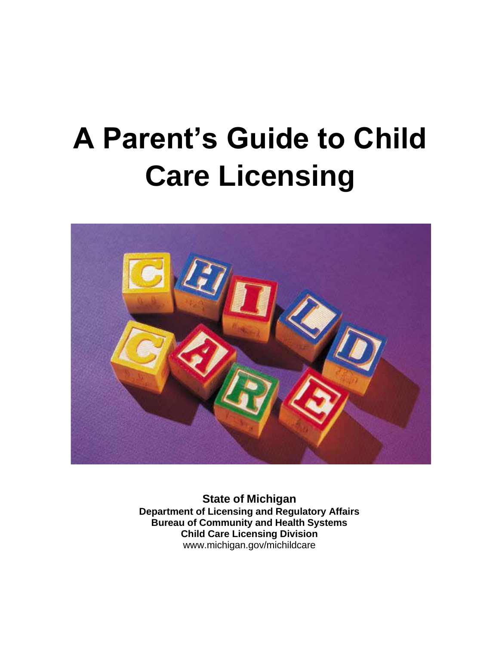# **A Parent's Guide to Child Care Licensing**



**State of Michigan Department of Licensing and Regulatory Affairs Bureau of Community and Health Systems Child Care Licensing Division** [www.michigan.gov/michildcare](http://www.michigan.gov/michildcare)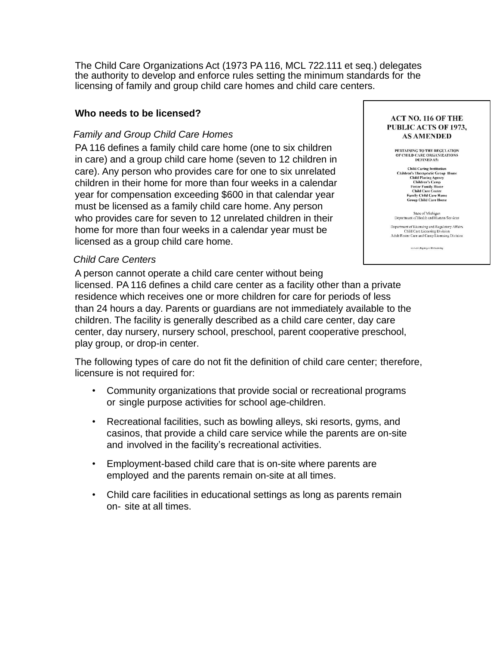The Child Care Organizations Act (1973 PA 116, MCL 722.111 et seq.) delegates the authority to develop and enforce rules setting the minimum standards for the licensing of family and group child care homes and child care centers.

#### **Who needs to be licensed?**

#### *Family and Group Child Care Homes*

PA 116 defines a family child care home (one to six children in care) and a group child care home (seven to 12 children in care). Any person who provides care for one to six unrelated children in their home for more than four weeks in a calendar year for compensation exceeding \$600 in that calendar year must be licensed as a family child care home. Any person who provides care for seven to 12 unrelated children in their home for more than four weeks in a calendar year must be licensed as a group child care home.

#### *Child Care Centers*

A person cannot operate a child care center without being licensed. PA 116 defines a child care center as a facility other than a private residence which receives one or more children for care for periods of less than 24 hours a day. Parents or guardians are not immediately available to the children. The facility is generally described as a child care center, day care center, day nursery, nursery school, preschool, parent cooperative preschool, play group, or drop-in center.

The following types of care do not fit the definition of child care center; therefore, licensure is not required for:

- Community organizations that provide social or recreational programs or single purpose activities for school age-children.
- Recreational facilities, such as bowling alleys, ski resorts, gyms, and casinos, that provide a child care service while the parents are on-site and involved in the facility's recreational activities.
- Employment-based child care that is on-site where parents are employed and the parents remain on-site at all times.
- Child care facilities in educational settings as long as parents remain on- site at all times.

**ACT NO. 116 OF THE PUBLIC ACTS OF 1973. AS AMENDED** 

PERTAINING TO THE REGULATION<br>OF CHILD CARE ORGANIZATIONS<br>DEFINED AS:

**Child Caring Institution** nua Carnot natural constants<br>Children's Therapeutic Group Home<br>Children's Carnot<br>Children's Camp<br>Foster Family Home<br>Children's Carnot<br>Child Care Center<br>Group Child Care Home<br>Group Child Care Home

State of Michigan<br>Department of Health and Human Services

Department of Licensing and Regulatory Affairs Child Care Licensing Division Adult Foster Care and Camp Licensing Division

severe chigan good to harming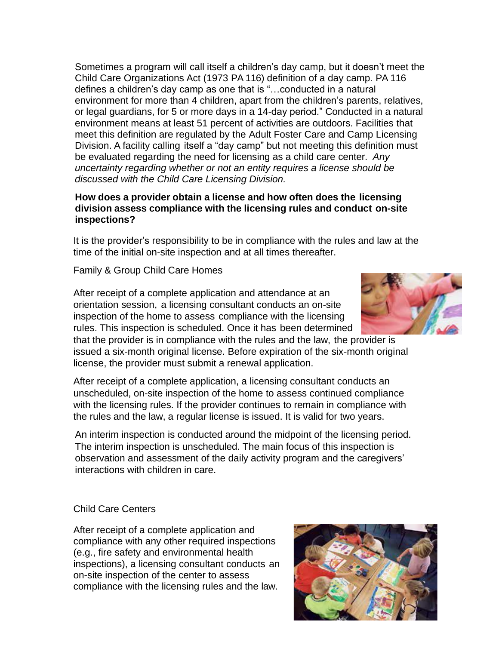Sometimes a program will call itself a children's day camp, but it doesn't meet the Child Care Organizations Act (1973 PA 116) definition of a day camp. PA 116 defines a children's day camp as one that is "…conducted in a natural environment for more than 4 children, apart from the children's parents, relatives, or legal guardians, for 5 or more days in a 14-day period." Conducted in a natural environment means at least 51 percent of activities are outdoors. Facilities that meet this definition are regulated by the Adult Foster Care and Camp Licensing Division. A facility calling itself a "day camp" but not meeting this definition must be evaluated regarding the need for licensing as a child care center. *Any uncertainty regarding whether or not an entity requires a license should be discussed with the Child Care Licensing Division.*

## **How does a provider obtain a license and how often does the licensing division assess compliance with the licensing rules and conduct on-site inspections?**

It is the provider's responsibility to be in compliance with the rules and law at the time of the initial on-site inspection and at all times thereafter.

## Family & Group Child Care Homes

After receipt of a complete application and attendance at an orientation session, a licensing consultant conducts an on-site inspection of the home to assess compliance with the licensing rules. This inspection is scheduled. Once it has been determined

that the provider is in compliance with the rules and the law, the provider is issued a six-month original license. Before expiration of the six-month original license, the provider must submit a renewal application.

After receipt of a complete application, a licensing consultant conducts an unscheduled, on-site inspection of the home to assess continued compliance with the licensing rules. If the provider continues to remain in compliance with the rules and the law, a regular license is issued. It is valid for two years.

An interim inspection is conducted around the midpoint of the licensing period. The interim inspection is unscheduled. The main focus of this inspection is observation and assessment of the daily activity program and the caregivers' interactions with children in care.

## Child Care Centers

After receipt of a complete application and compliance with any other required inspections (e.g., fire safety and environmental health inspections), a licensing consultant conducts an on-site inspection of the center to assess compliance with the licensing rules and the law.



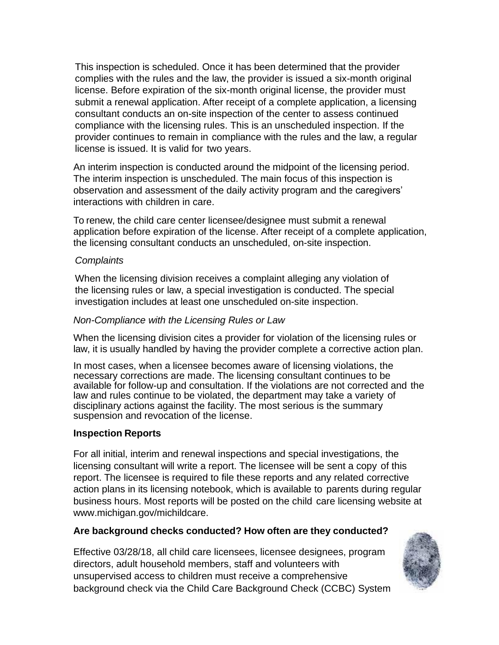This inspection is scheduled. Once it has been determined that the provider complies with the rules and the law, the provider is issued a six-month original license. Before expiration of the six-month original license, the provider must submit a renewal application. After receipt of a complete application, a licensing consultant conducts an on-site inspection of the center to assess continued compliance with the licensing rules. This is an unscheduled inspection. If the provider continues to remain in compliance with the rules and the law, a regular license is issued. It is valid for two years.

An interim inspection is conducted around the midpoint of the licensing period. The interim inspection is unscheduled. The main focus of this inspection is observation and assessment of the daily activity program and the caregivers' interactions with children in care.

To renew, the child care center licensee/designee must submit a renewal application before expiration of the license. After receipt of a complete application, the licensing consultant conducts an unscheduled, on-site inspection.

#### *Complaints*

When the licensing division receives a complaint alleging any violation of the licensing rules or law, a special investigation is conducted. The special investigation includes at least one unscheduled on-site inspection.

#### *Non-Compliance with the Licensing Rules or Law*

When the licensing division cites a provider for violation of the licensing rules or law, it is usually handled by having the provider complete a corrective action plan.

In most cases, when a licensee becomes aware of licensing violations, the necessary corrections are made. The licensing consultant continues to be available for follow-up and consultation. If the violations are not corrected and the law and rules continue to be violated, the department may take a variety of disciplinary actions against the facility. The most serious is the summary suspension and revocation of the license.

#### **Inspection Reports**

For all initial, interim and renewal inspections and special investigations, the licensing consultant will write a report. The licensee will be sent a copy of this report. The licensee is required to file these reports and any related corrective action plans in its licensing notebook, which is available to parents during regular business hours. Most reports will be posted on the child care licensing website at [www.michigan.gov/michildcare.](http://www.michigan.gov/michildcare)

#### **Are background checks conducted? How often are they conducted?**

Effective 03/28/18, all child care licensees, licensee designees, program directors, adult household members, staff and volunteers with unsupervised access to children must receive a comprehensive background check via the Child Care Background Check (CCBC) System

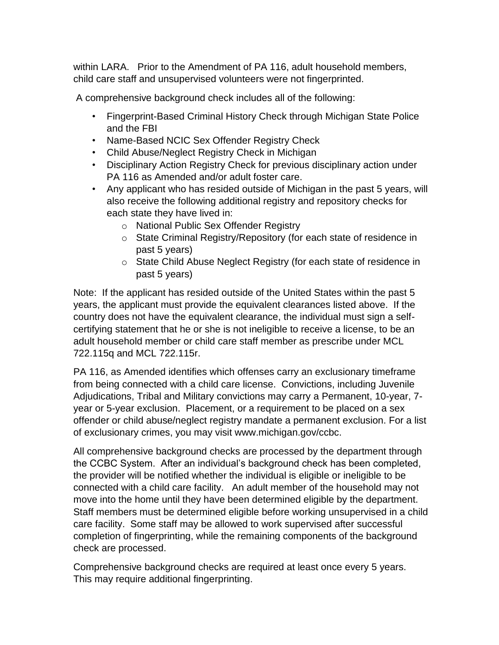within LARA. Prior to the Amendment of PA 116, adult household members, child care staff and unsupervised volunteers were not fingerprinted.

A comprehensive background check includes all of the following:

- Fingerprint-Based Criminal History Check through Michigan State Police and the FBI
- Name-Based NCIC Sex Offender Registry Check
- Child Abuse/Neglect Registry Check in Michigan
- Disciplinary Action Registry Check for previous disciplinary action under PA 116 as Amended and/or adult foster care.
- Any applicant who has resided outside of Michigan in the past 5 years, will also receive the following additional registry and repository checks for each state they have lived in:
	- o National Public Sex Offender Registry
	- o State Criminal Registry/Repository (for each state of residence in past 5 years)
	- o State Child Abuse Neglect Registry (for each state of residence in past 5 years)

Note: If the applicant has resided outside of the United States within the past 5 years, the applicant must provide the equivalent clearances listed above. If the country does not have the equivalent clearance, the individual must sign a selfcertifying statement that he or she is not ineligible to receive a license, to be an adult household member or child care staff member as prescribe under MCL 722.115q and MCL 722.115r.

PA 116, as Amended identifies which offenses carry an exclusionary timeframe from being connected with a child care license. Convictions, including Juvenile Adjudications, Tribal and Military convictions may carry a Permanent, 10-year, 7 year or 5-year exclusion. Placement, or a requirement to be placed on a sex offender or child abuse/neglect registry mandate a permanent exclusion. For a list of exclusionary crimes, you may visit www.michigan.gov/ccbc.

All comprehensive background checks are processed by the department through the CCBC System. After an individual's background check has been completed, the provider will be notified whether the individual is eligible or ineligible to be connected with a child care facility. An adult member of the household may not move into the home until they have been determined eligible by the department. Staff members must be determined eligible before working unsupervised in a child care facility. Some staff may be allowed to work supervised after successful completion of fingerprinting, while the remaining components of the background check are processed.

Comprehensive background checks are required at least once every 5 years. This may require additional fingerprinting.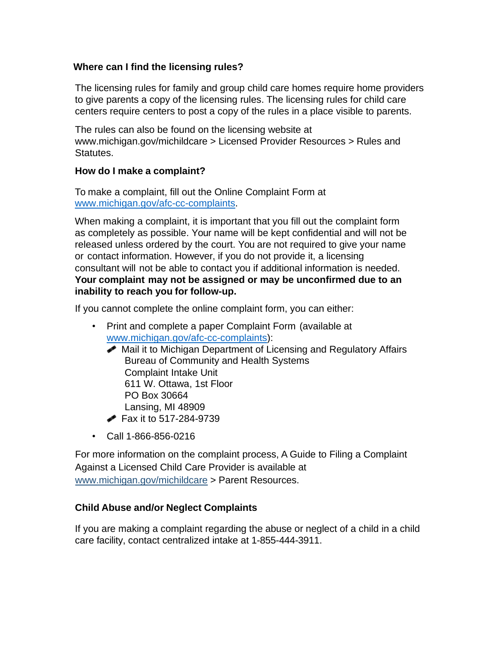# **Where can I find the licensing rules?**

The licensing rules for family and group child care homes require home providers to give parents a copy of the licensing rules. The licensing rules for child care centers require centers to post a copy of the rules in a place visible to parents.

The rules can also be found on the licensing website at [www.michigan.gov/michildcare](http://www.michigan.gov/michildcare) > Licensed Provider Resources > Rules and Statutes.

# **How do I make a complaint?**

To make a complaint, fill out the Online Complaint Form at [www.michigan.gov/afc-cc-complaints.](http://www.michigan.gov/afc-cc-complaints)

When making a complaint, it is important that you fill out the complaint form as completely as possible. Your name will be kept confidential and will not be released unless ordered by the court. You are not required to give your name or contact information. However, if you do not provide it, a licensing consultant will not be able to contact you if additional information is needed. **Your complaint may not be assigned or may be unconfirmed due to an inability to reach you for follow-up.**

If you cannot complete the online complaint form, you can either:

- Print and complete a paper Complaint Form (available at [www.michigan.gov/afc-cc-complaints\)](http://www.michigan.gov/afc-cc-complaints):
	- Mail it to Michigan Department of Licensing and Regulatory Affairs Bureau of Community and Health Systems Complaint Intake Unit 611 W. Ottawa, 1st Floor PO Box 30664 Lansing, MI 48909
	- **Fax it to 517-284-9739**
- Call 1-866-856-0216

For more information on the complaint process, A Guide to Filing a Complaint Against a Licensed Child Care Provider is available at [www.michigan.gov/michildcare](http://www.michigan.gov/michildcare) > Parent Resources.

# **Child Abuse and/or Neglect Complaints**

If you are making a complaint regarding the abuse or neglect of a child in a child care facility, contact centralized intake at 1-855-444-3911.